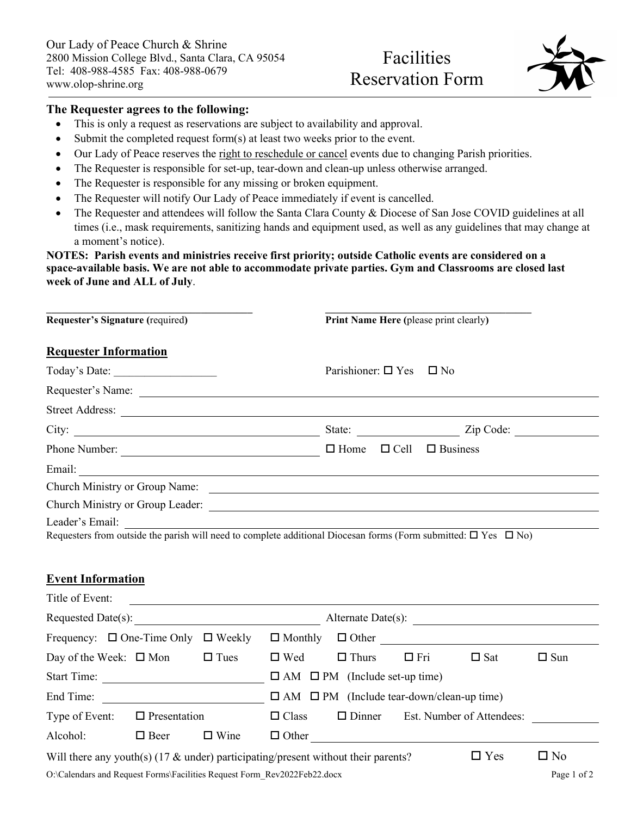## Facilities Reservation Form

**\_\_\_\_\_\_\_\_\_\_\_\_\_\_\_\_\_\_\_\_\_\_\_\_\_\_\_\_\_\_\_\_\_\_\_\_\_\_\_\_**



## **The Requester agrees to the following:**

**\_\_\_\_\_\_\_\_\_\_\_\_\_\_\_\_\_\_\_\_\_\_\_\_\_\_\_\_\_\_\_\_\_\_\_\_\_\_\_\_**

- This is only a request as reservations are subject to availability and approval.
- Submit the completed request form(s) at least two weeks prior to the event.
- Our Lady of Peace reserves the right to reschedule or cancel events due to changing Parish priorities.
- The Requester is responsible for set-up, tear-down and clean-up unless otherwise arranged.
- The Requester is responsible for any missing or broken equipment.
- The Requester will notify Our Lady of Peace immediately if event is cancelled.
- The Requester and attendees will follow the Santa Clara County & Diocese of San Jose COVID guidelines at all times (i.e., mask requirements, sanitizing hands and equipment used, as well as any guidelines that may change at a moment's notice).

## **NOTES: Parish events and ministries receive first priority; outside Catholic events are considered on a space-available basis. We are not able to accommodate private parties. Gym and Classrooms are closed last week of June and ALL of July**.

| Requester's Signature (required)                                                                                                             |             | Print Name Here (please print clearly)                |                         |             |                                         |            |
|----------------------------------------------------------------------------------------------------------------------------------------------|-------------|-------------------------------------------------------|-------------------------|-------------|-----------------------------------------|------------|
| <b>Requester Information</b>                                                                                                                 |             |                                                       |                         |             |                                         |            |
|                                                                                                                                              |             |                                                       | Parishioner: $\Box$ Yes |             | $\square$ No                            |            |
|                                                                                                                                              |             |                                                       |                         |             |                                         |            |
|                                                                                                                                              |             |                                                       |                         |             |                                         |            |
|                                                                                                                                              |             |                                                       |                         |             |                                         |            |
| Phone Number: $\Box$ Business                                                                                                                |             |                                                       |                         |             |                                         |            |
|                                                                                                                                              |             |                                                       |                         |             |                                         |            |
|                                                                                                                                              |             |                                                       |                         |             |                                         |            |
|                                                                                                                                              |             |                                                       |                         |             |                                         |            |
| Leader's Email:<br>Requesters from outside the parish will need to complete additional Diocesan forms (Form submitted: $\Box$ Yes $\Box$ No) |             |                                                       |                         |             |                                         |            |
| <b>Event Information</b>                                                                                                                     |             |                                                       |                         |             |                                         |            |
| Title of Event:<br><u> Alexandria de la contrada de la contrada de la contrada de la contrada de la contrada de la contrada de la c</u>      |             |                                                       |                         |             |                                         |            |
|                                                                                                                                              |             |                                                       |                         |             |                                         |            |
|                                                                                                                                              |             |                                                       |                         |             |                                         |            |
| Day of the Week: $\Box$ Mon $\Box$ Tues                                                                                                      |             | $\Box$ Wed                                            | $\Box$ Thurs            | $\Box$ Fri  | $\Box$ Sat                              | $\Box$ Sun |
|                                                                                                                                              |             |                                                       |                         |             |                                         |            |
|                                                                                                                                              |             | $\Box$ AM $\Box$ PM (Include tear-down/clean-up time) |                         |             |                                         |            |
| Type of Event: $\Box$ Presentation                                                                                                           |             | $\Box$ Class                                          |                         |             | $\Box$ Dinner Est. Number of Attendees: |            |
| Alcohol:<br>$\Box$ Beer                                                                                                                      | $\Box$ Wine |                                                       |                         |             | $\Box$ Other                            |            |
| Will there any youth(s) (17 $\&$ under) participating/present without their parents?                                                         |             |                                                       |                         |             | $\Box$ Yes                              | $\Box$ No  |
| O:\Calendars and Request Forms\Facilities Request Form Rev2022Feb22.docx                                                                     |             |                                                       |                         | Page 1 of 2 |                                         |            |